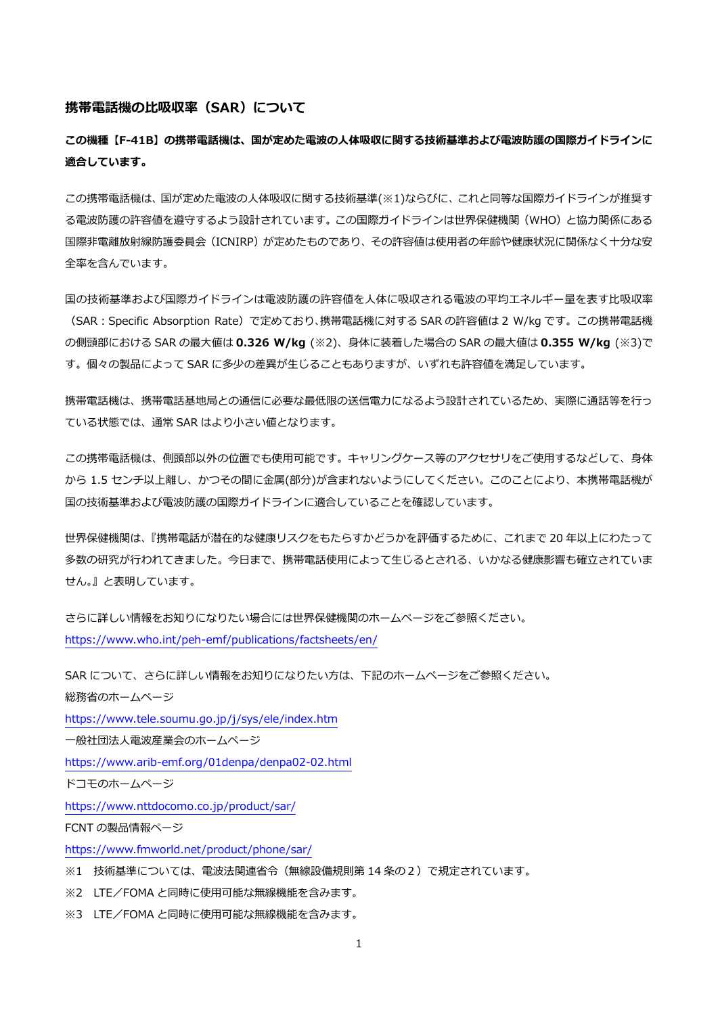### **携帯電話機の比吸収率(SAR)について**

**この機種【F-41B】の携帯電話機は、国が定めた電波の人体吸収に関する技術基準および電波防護の国際ガイドラインに 適合しています。**

この携帯電話機は、国が定めた電波の人体吸収に関する技術基準(※1)ならびに、これと同等な国際ガイドラインが推奨す る電波防護の許容値を遵守するよう設計されています。この国際ガイドラインは世界保健機関(WHO)と協力関係にある 国際非電離放射線防護委員会(ICNIRP)が定めたものであり、その許容値は使用者の年齢や健康状況に関係なく十分な安 全率を含んでいます。

国の技術基準および国際ガイドラインは電波防護の許容値を人体に吸収される電波の平均エネルギー量を表す比吸収率 (SAR:Specific Absorption Rate)で定めており、携帯電話機に対する SAR の許容値は 2 W/kg です。この携帯電話機 の側頭部における SAR の最大値は **0.326 W/kg** (※2)、身体に装着した場合の SAR の最大値は **0.355 W/kg** (※3)で す。個々の製品によって SAR に多少の差異が生じることもありますが、いずれも許容値を満足しています。

携帯電話機は、携帯電話基地局との通信に必要な最低限の送信電力になるよう設計されているため、実際に通話等を行っ ている状態では、通常 SAR はより小さい値となります。

この携帯電話機は、側頭部以外の位置でも使用可能です。キャリングケース等のアクセサリをご使用するなどして、身体 から 1.5 センチ以上離し、かつその間に金属(部分)が含まれないようにしてください。このことにより、本携帯電話機が 国の技術基準および電波防護の国際ガイドラインに適合していることを確認しています。

世界保健機関は、『携帯電話が潜在的な健康リスクをもたらすかどうかを評価するために、これまで 20 年以上にわたって 多数の研究が行われてきました。今日まで、携帯電話使用によって生じるとされる、いかなる健康影響も確立されていま せん。』と表明しています。

さらに詳しい情報をお知りになりたい場合には世界保健機関のホームページをご参照ください。 <https://www.who.int/peh-emf/publications/factsheets/en/>

SAR について、さらに詳しい情報をお知りになりたい方は、下記のホームページをご参照ください。 総務省のホームページ <https://www.tele.soumu.go.jp/j/sys/ele/index.htm> 一般社団法人電波産業会のホームページ

<https://www.arib-emf.org/01denpa/denpa02-02.html>

ドコモのホームページ

<https://www.nttdocomo.co.jp/product/sar/>

FCNT の製品情報ページ

<https://www.fmworld.net/product/phone/sar/>

※1 技術基準については、電波法関連省令(無線設備規則第 14 条の2)で規定されています。

※2 LTE/FOMA と同時に使用可能な無線機能を含みます。

※3 LTE/FOMA と同時に使用可能な無線機能を含みます。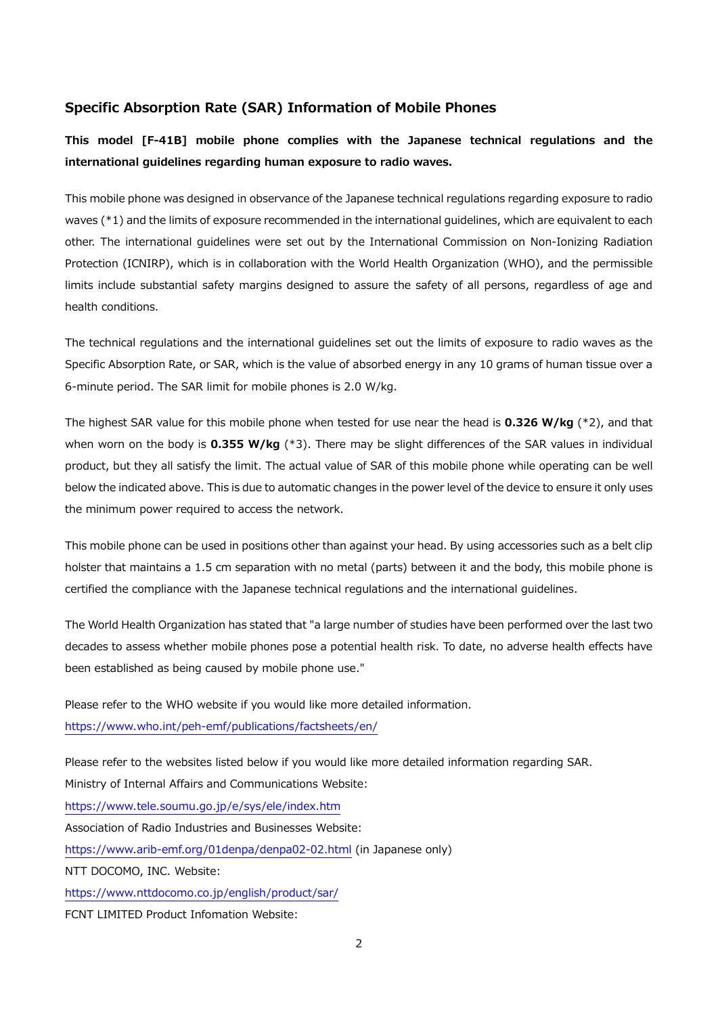## **Specific Absorption Rate (SAR) Information of Mobile Phones**

**This model [F-41B] mobile phone complies with the Japanese technical regulations and the international guidelines regarding human exposure to radio waves.**

This mobile phone was designed in observance of the Japanese technical regulations regarding exposure to radio waves (\*1) and the limits of exposure recommended in the international guidelines, which are equivalent to each other. The international guidelines were set out by the International Commission on Non-Ionizing Radiation Protection (ICNIRP), which is in collaboration with the World Health Organization (WHO), and the permissible limits include substantial safety margins designed to assure the safety of all persons, regardless of age and health conditions.

The technical regulations and the international guidelines set out the limits of exposure to radio waves as the Specific Absorption Rate, or SAR, which is the value of absorbed energy in any 10 grams of human tissue over a 6-minute period. The SAR limit for mobile phones is 2.0 W/kg.

The highest SAR value for this mobile phone when tested for use near the head is **0.326 W/kg** (\*2), and that when worn on the body is **0.355 W/kg** (\*3). There may be slight differences of the SAR values in individual product, but they all satisfy the limit. The actual value of SAR of this mobile phone while operating can be well below the indicated above. This is due to automatic changes in the power level of the device to ensure it only uses the minimum power required to access the network.

This mobile phone can be used in positions other than against your head. By using accessories such as a belt clip holster that maintains a 1.5 cm separation with no metal (parts) between it and the body, this mobile phone is certified the compliance with the Japanese technical regulations and the international guidelines.

The World Health Organization has stated that "a large number of studies have been performed over the last two decades to assess whether mobile phones pose a potential health risk. To date, no adverse health effects have been established as being caused by mobile phone use."

Please refer to the WHO website if you would like more detailed information. <https://www.who.int/peh-emf/publications/factsheets/en/>

Please refer to the websites listed below if you would like more detailed information regarding SAR. Ministry of Internal Affairs and Communications Website: <https://www.tele.soumu.go.jp/e/sys/ele/index.htm> Association of Radio Industries and Businesses Website: <https://www.arib-emf.org/01denpa/denpa02-02.html> (in Japanese only) NTT DOCOMO, INC. Website: <https://www.nttdocomo.co.jp/english/product/sar/> FCNT LIMITED Product Infomation Website: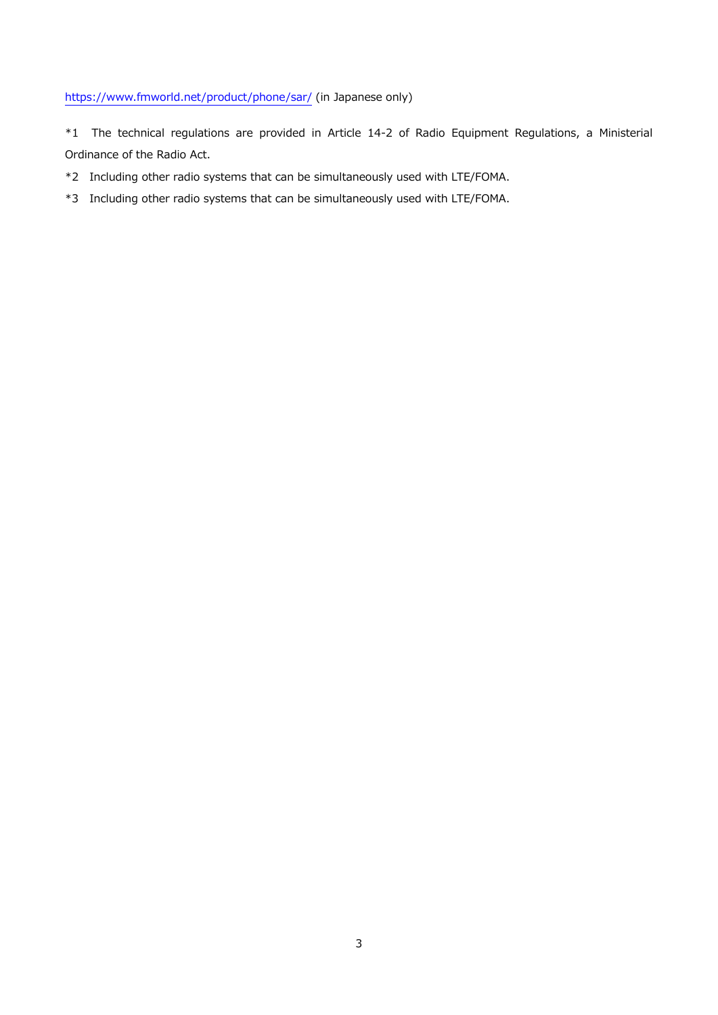## <https://www.fmworld.net/product/phone/sar/> (in Japanese only)

\*1 The technical regulations are provided in Article 14-2 of Radio Equipment Regulations, a Ministerial Ordinance of the Radio Act.

\*2 Including other radio systems that can be simultaneously used with LTE/FOMA.

\*3 Including other radio systems that can be simultaneously used with LTE/FOMA.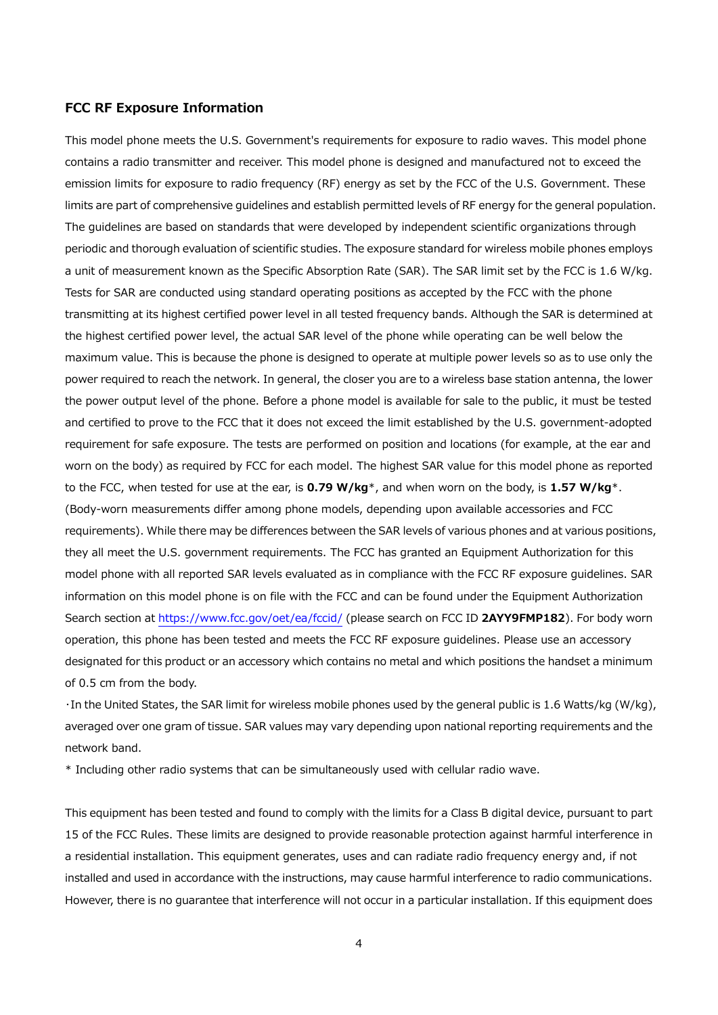#### **FCC RF Exposure Information**

This model phone meets the U.S. Government's requirements for exposure to radio waves. This model phone contains a radio transmitter and receiver. This model phone is designed and manufactured not to exceed the emission limits for exposure to radio frequency (RF) energy as set by the FCC of the U.S. Government. These limits are part of comprehensive guidelines and establish permitted levels of RF energy for the general population. The guidelines are based on standards that were developed by independent scientific organizations through periodic and thorough evaluation of scientific studies. The exposure standard for wireless mobile phones employs a unit of measurement known as the Specific Absorption Rate (SAR). The SAR limit set by the FCC is 1.6 W/kg. Tests for SAR are conducted using standard operating positions as accepted by the FCC with the phone transmitting at its highest certified power level in all tested frequency bands. Although the SAR is determined at the highest certified power level, the actual SAR level of the phone while operating can be well below the maximum value. This is because the phone is designed to operate at multiple power levels so as to use only the power required to reach the network. In general, the closer you are to a wireless base station antenna, the lower the power output level of the phone. Before a phone model is available for sale to the public, it must be tested and certified to prove to the FCC that it does not exceed the limit established by the U.S. government-adopted requirement for safe exposure. The tests are performed on position and locations (for example, at the ear and worn on the body) as required by FCC for each model. The highest SAR value for this model phone as reported to the FCC, when tested for use at the ear, is **0.79 W/kg**\*, and when worn on the body, is **1.57 W/kg**\*. (Body-worn measurements differ among phone models, depending upon available accessories and FCC requirements). While there may be differences between the SAR levels of various phones and at various positions, they all meet the U.S. government requirements. The FCC has granted an Equipment Authorization for this model phone with all reported SAR levels evaluated as in compliance with the FCC RF exposure guidelines. SAR information on this model phone is on file with the FCC and can be found under the Equipment Authorization Search section at<https://www.fcc.gov/oet/ea/fccid/> (please search on FCC ID **2AYY9FMP182**). For body worn operation, this phone has been tested and meets the FCC RF exposure guidelines. Please use an accessory designated for this product or an accessory which contains no metal and which positions the handset a minimum of 0.5 cm from the body.

・In the United States, the SAR limit for wireless mobile phones used by the general public is 1.6 Watts/kg (W/kg), averaged over one gram of tissue. SAR values may vary depending upon national reporting requirements and the network band.

\* Including other radio systems that can be simultaneously used with cellular radio wave.

This equipment has been tested and found to comply with the limits for a Class B digital device, pursuant to part 15 of the FCC Rules. These limits are designed to provide reasonable protection against harmful interference in a residential installation. This equipment generates, uses and can radiate radio frequency energy and, if not installed and used in accordance with the instructions, may cause harmful interference to radio communications. However, there is no guarantee that interference will not occur in a particular installation. If this equipment does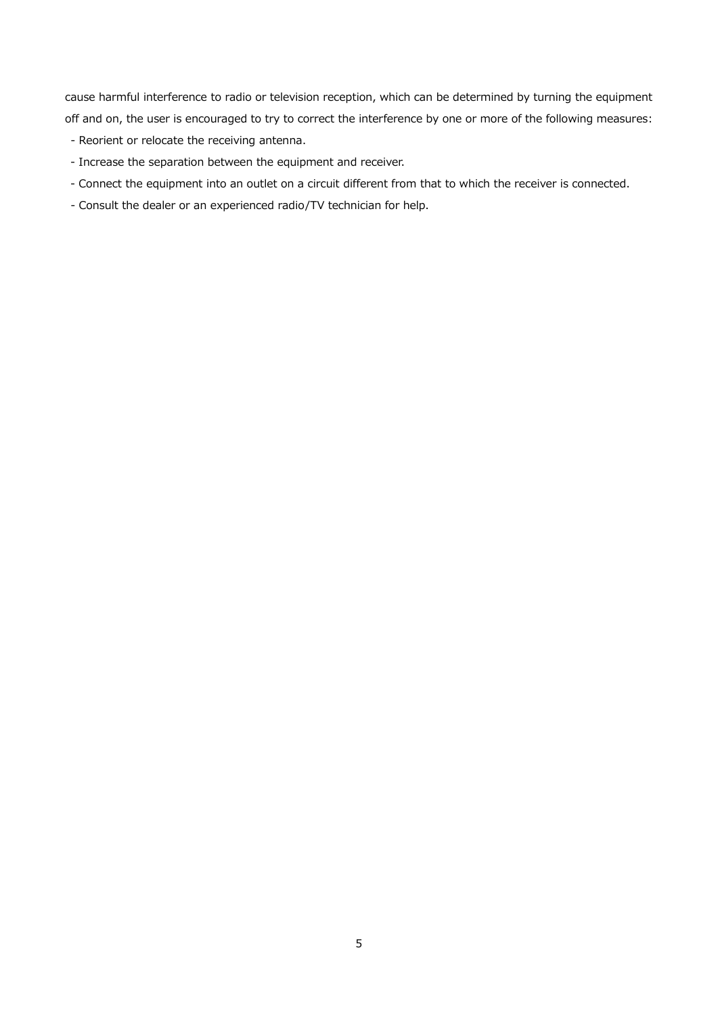cause harmful interference to radio or television reception, which can be determined by turning the equipment off and on, the user is encouraged to try to correct the interference by one or more of the following measures:

- Reorient or relocate the receiving antenna.
- Increase the separation between the equipment and receiver.
- Connect the equipment into an outlet on a circuit different from that to which the receiver is connected.
- Consult the dealer or an experienced radio/TV technician for help.